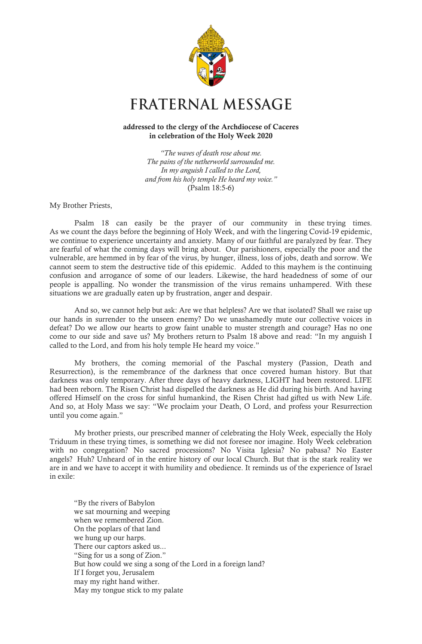

## **FRATERNAL MESSAGE**

## addressed to the clergy of the Archdiocese of Caceres in celebration of the Holy Week 2020

*"The waves of death rose about me. The pains of the netherworld surrounded me. In my anguish I called to the Lord, and from his holy temple He heard my voice."* (Psalm 18:5-6)

My Brother Priests,

Psalm 18 can easily be the prayer of our community in these trying times. As we count the days before the beginning of Holy Week, and with the lingering Covid-19 epidemic, we continue to experience uncertainty and anxiety. Many of our faithful are paralyzed by fear. They are fearful of what the coming days will bring about. Our parishioners, especially the poor and the vulnerable, are hemmed in by fear of the virus, by hunger, illness, loss of jobs, death and sorrow. We cannot seem to stem the destructive tide of this epidemic. Added to this mayhem is the continuing confusion and arrogance of some of our leaders. Likewise, the hard headedness of some of our people is appalling. No wonder the transmission of the virus remains unhampered. With these situations we are gradually eaten up by frustration, anger and despair.

And so, we cannot help but ask: Are we that helpless? Are we that isolated? Shall we raise up our hands in surrender to the unseen enemy? Do we unashamedly mute our collective voices in defeat? Do we allow our hearts to grow faint unable to muster strength and courage? Has no one come to our side and save us? My brothers return to Psalm 18 above and read: "In my anguish I called to the Lord, and from his holy temple He heard my voice."

My brothers, the coming memorial of the Paschal mystery (Passion, Death and Resurrection), is the remembrance of the darkness that once covered human history. But that darkness was only temporary. After three days of heavy darkness, LIGHT had been restored. LIFE had been reborn. The Risen Christ had dispelled the darkness as He did during his birth. And having offered Himself on the cross for sinful humankind, the Risen Christ had gifted us with New Life. And so, at Holy Mass we say: "We proclaim your Death, O Lord, and profess your Resurrection until you come again."

My brother priests, our prescribed manner of celebrating the Holy Week, especially the Holy Triduum in these trying times, is something we did not foresee nor imagine. Holy Week celebration with no congregation? No sacred processions? No Visita Iglesia? No pabasa? No Easter angels? Huh? Unheard of in the entire history of our local Church. But that is the stark reality we are in and we have to accept it with humility and obedience. It reminds us of the experience of Israel in exile:

"By the rivers of Babylon we sat mourning and weeping when we remembered Zion. On the poplars of that land we hung up our harps. There our captors asked us... "Sing for us a song of Zion." But how could we sing a song of the Lord in a foreign land? If I forget you, Jerusalem may my right hand wither. May my tongue stick to my palate